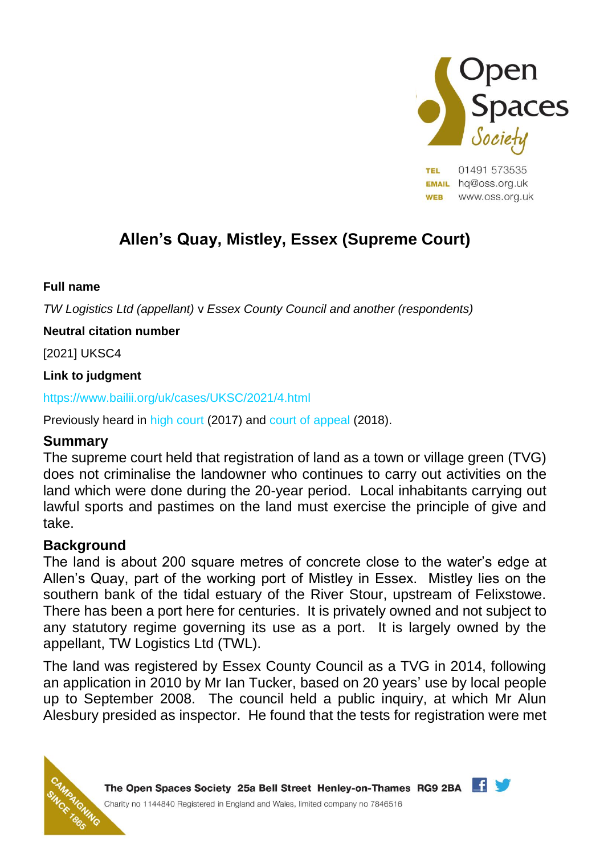

01491 573535 **TEL EMAIL** hq@oss.org.uk www.oss.org.uk **WEB** 

# **Allen's Quay, Mistley, Essex (Supreme Court)**

## **Full name**

*TW Logistics Ltd (appellant)* v *Essex County Council and another (respondents)*

#### **Neutral citation number**

[2021] UKSC4

#### **Link to judgment**

<https://www.bailii.org/uk/cases/UKSC/2021/4.html>

Previously heard in [high court](https://www.bailii.org/ew/cases/EWHC/Ch/2017/185.html) (2017) and [court of appeal](https://www.bailii.org/ew/cases/EWCA/Civ/2018/2172.html) (2018).

## **Summary**

The supreme court held that registration of land as a town or village green (TVG) does not criminalise the landowner who continues to carry out activities on the land which were done during the 20-year period. Local inhabitants carrying out lawful sports and pastimes on the land must exercise the principle of give and take.

## **Background**

The land is about 200 square metres of concrete close to the water's edge at Allen's Quay, part of the working port of Mistley in Essex. Mistley lies on the southern bank of the tidal estuary of the River Stour, upstream of Felixstowe. There has been a port here for centuries. It is privately owned and not subject to any statutory regime governing its use as a port. It is largely owned by the appellant, TW Logistics Ltd (TWL).

The land was registered by Essex County Council as a TVG in 2014, following an application in 2010 by Mr Ian Tucker, based on 20 years' use by local people up to September 2008. The council held a public inquiry, at which Mr Alun Alesbury presided as inspector. He found that the tests for registration were met

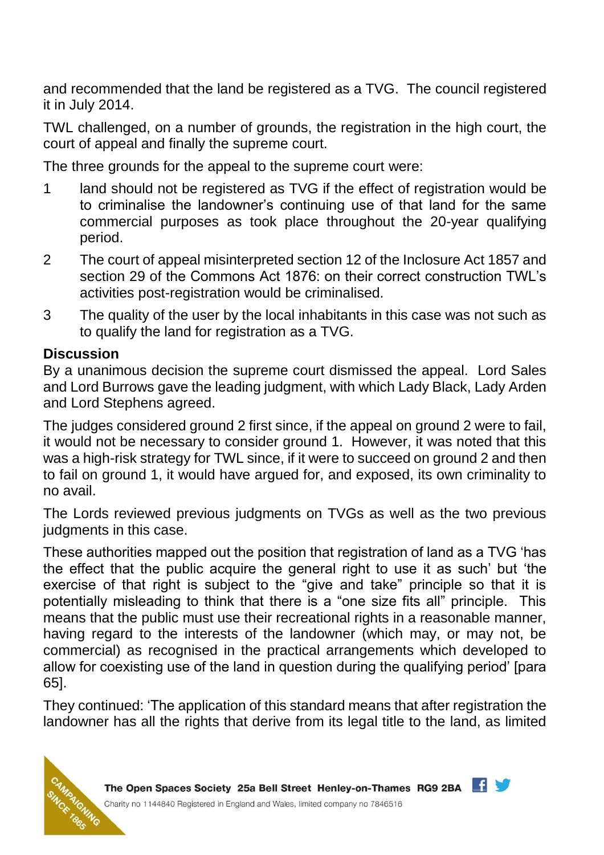and recommended that the land be registered as a TVG. The council registered it in July 2014.

TWL challenged, on a number of grounds, the registration in the high court, the court of appeal and finally the supreme court.

The three grounds for the appeal to the supreme court were:

- 1 land should not be registered as TVG if the effect of registration would be to criminalise the landowner's continuing use of that land for the same commercial purposes as took place throughout the 20-year qualifying period.
- 2 The court of appeal misinterpreted section 12 of the Inclosure Act 1857 and section 29 of the Commons Act 1876: on their correct construction TWL's activities post-registration would be criminalised.
- 3 The quality of the user by the local inhabitants in this case was not such as to qualify the land for registration as a TVG.

# **Discussion**

By a unanimous decision the supreme court dismissed the appeal. Lord Sales and Lord Burrows gave the leading judgment, with which Lady Black, Lady Arden and Lord Stephens agreed.

The judges considered ground 2 first since, if the appeal on ground 2 were to fail, it would not be necessary to consider ground 1. However, it was noted that this was a high-risk strategy for TWL since, if it were to succeed on ground 2 and then to fail on ground 1, it would have argued for, and exposed, its own criminality to no avail.

The Lords reviewed previous judgments on TVGs as well as the two previous judgments in this case.

These authorities mapped out the position that registration of land as a TVG 'has the effect that the public acquire the general right to use it as such' but 'the exercise of that right is subject to the "give and take" principle so that it is potentially misleading to think that there is a "one size fits all" principle. This means that the public must use their recreational rights in a reasonable manner, having regard to the interests of the landowner (which may, or may not, be commercial) as recognised in the practical arrangements which developed to allow for coexisting use of the land in question during the qualifying period' [para 65].

They continued: 'The application of this standard means that after registration the landowner has all the rights that derive from its legal title to the land, as limited

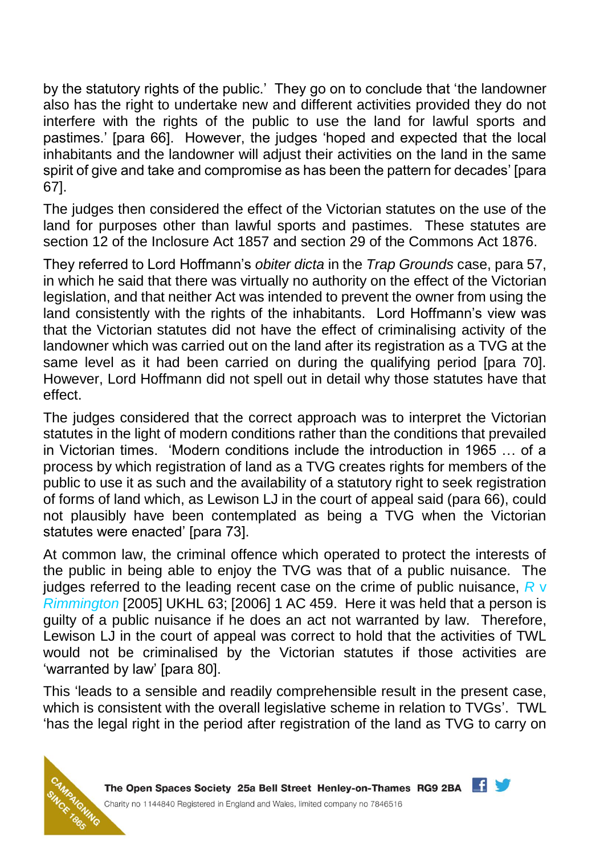by the statutory rights of the public.' They go on to conclude that 'the landowner also has the right to undertake new and different activities provided they do not interfere with the rights of the public to use the land for lawful sports and pastimes.' [para 66]. However, the judges 'hoped and expected that the local inhabitants and the landowner will adjust their activities on the land in the same spirit of give and take and compromise as has been the pattern for decades' [para 67].

The judges then considered the effect of the Victorian statutes on the use of the land for purposes other than lawful sports and pastimes. These statutes are section 12 of the Inclosure Act 1857 and section 29 of the Commons Act 1876.

They referred to Lord Hoffmann's *obiter dicta* in the *Trap Grounds* case, para 57, in which he said that there was virtually no authority on the effect of the Victorian legislation, and that neither Act was intended to prevent the owner from using the land consistently with the rights of the inhabitants. Lord Hoffmann's view was that the Victorian statutes did not have the effect of criminalising activity of the landowner which was carried out on the land after its registration as a TVG at the same level as it had been carried on during the qualifying period [para 70]. However, Lord Hoffmann did not spell out in detail why those statutes have that effect.

The judges considered that the correct approach was to interpret the Victorian statutes in the light of modern conditions rather than the conditions that prevailed in Victorian times. 'Modern conditions include the introduction in 1965 … of a process by which registration of land as a TVG creates rights for members of the public to use it as such and the availability of a statutory right to seek registration of forms of land which, as Lewison LJ in the court of appeal said (para 66), could not plausibly have been contemplated as being a TVG when the Victorian statutes were enacted' [para 73].

At common law, the criminal offence which operated to protect the interests of the public in being able to enjoy the TVG was that of a public nuisance. The judges referred to the leading recent case on the crime of public nuisance, *R* [v](https://publications.parliament.uk/pa/ld200506/ldjudgmt/jd051027/gold-1.htm)  *[Rimmington](https://publications.parliament.uk/pa/ld200506/ldjudgmt/jd051027/gold-1.htm)* [2005] UKHL 63; [2006] 1 AC 459. Here it was held that a person is guilty of a public nuisance if he does an act not warranted by law. Therefore, Lewison LJ in the court of appeal was correct to hold that the activities of TWL would not be criminalised by the Victorian statutes if those activities are 'warranted by law' [para 80].

This 'leads to a sensible and readily comprehensible result in the present case, which is consistent with the overall legislative scheme in relation to TVGs'. TWL 'has the legal right in the period after registration of the land as TVG to carry on